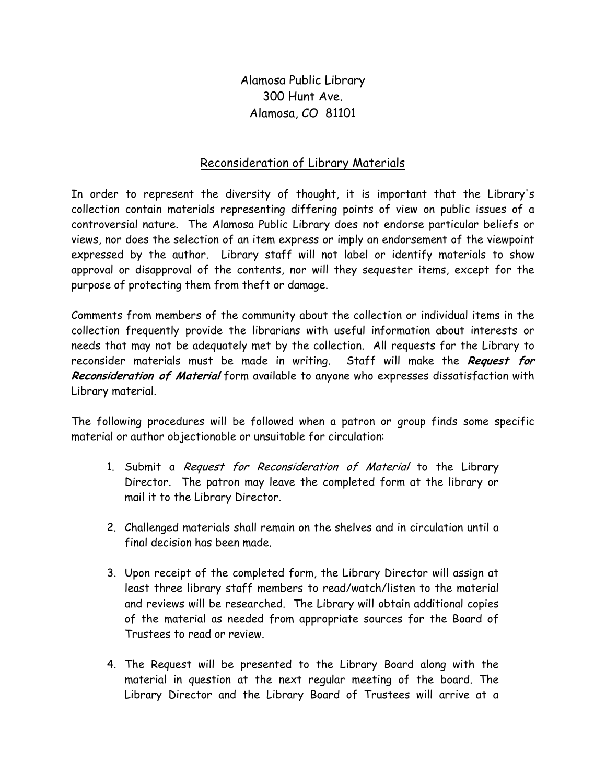Alamosa Public Library 300 Hunt Ave. Alamosa, CO 81101

## Reconsideration of Library Materials

In order to represent the diversity of thought, it is important that the Library's collection contain materials representing differing points of view on public issues of a controversial nature. The Alamosa Public Library does not endorse particular beliefs or views, nor does the selection of an item express or imply an endorsement of the viewpoint expressed by the author. Library staff will not label or identify materials to show approval or disapproval of the contents, nor will they sequester items, except for the purpose of protecting them from theft or damage.

Comments from members of the community about the collection or individual items in the collection frequently provide the librarians with useful information about interests or needs that may not be adequately met by the collection. All requests for the Library to reconsider materials must be made in writing. Staff will make the Request for Reconsideration of Material form available to anyone who expresses dissatisfaction with Library material.

The following procedures will be followed when a patron or group finds some specific material or author objectionable or unsuitable for circulation:

- 1. Submit a Request for Reconsideration of Material to the Library Director. The patron may leave the completed form at the library or mail it to the Library Director.
- 2. Challenged materials shall remain on the shelves and in circulation until a final decision has been made.
- 3. Upon receipt of the completed form, the Library Director will assign at least three library staff members to read/watch/listen to the material and reviews will be researched. The Library will obtain additional copies of the material as needed from appropriate sources for the Board of Trustees to read or review.
- 4. The Request will be presented to the Library Board along with the material in question at the next regular meeting of the board. The Library Director and the Library Board of Trustees will arrive at a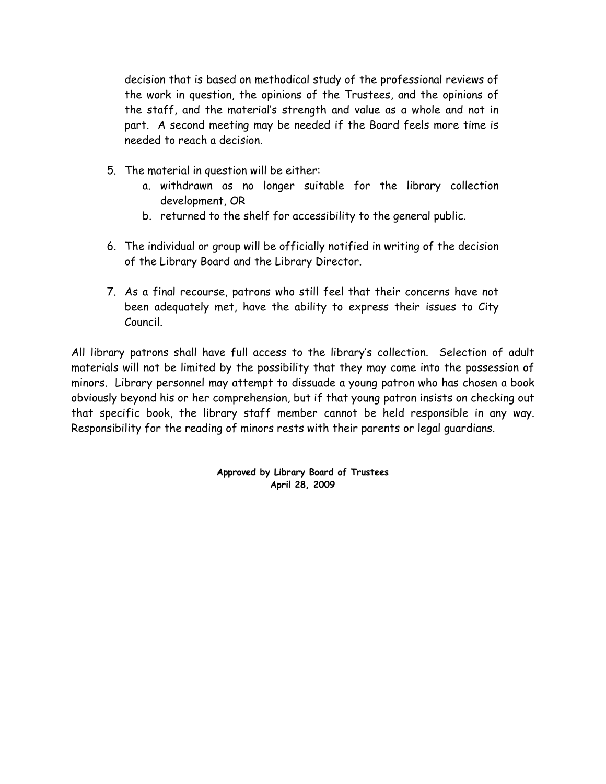decision that is based on methodical study of the professional reviews of the work in question, the opinions of the Trustees, and the opinions of the staff, and the material's strength and value as a whole and not in part. A second meeting may be needed if the Board feels more time is needed to reach a decision.

- 5. The material in question will be either:
	- a. withdrawn as no longer suitable for the library collection development, OR
	- b. returned to the shelf for accessibility to the general public.
- 6. The individual or group will be officially notified in writing of the decision of the Library Board and the Library Director.
- 7. As a final recourse, patrons who still feel that their concerns have not been adequately met, have the ability to express their issues to City Council.

All library patrons shall have full access to the library's collection. Selection of adult materials will not be limited by the possibility that they may come into the possession of minors. Library personnel may attempt to dissuade a young patron who has chosen a book obviously beyond his or her comprehension, but if that young patron insists on checking out that specific book, the library staff member cannot be held responsible in any way. Responsibility for the reading of minors rests with their parents or legal guardians.

> Approved by Library Board of Trustees April 28, 2009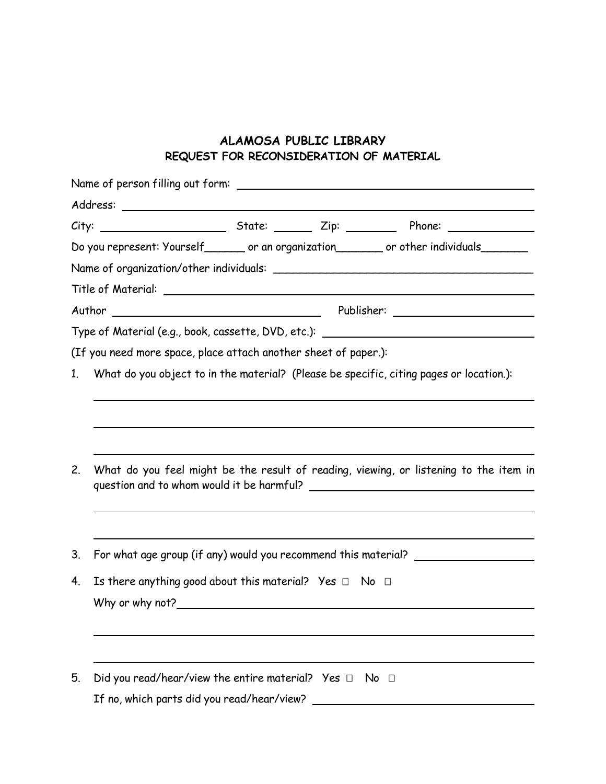## ALAMOSA PUBLIC LIBRARY REQUEST FOR RECONSIDERATION OF MATERIAL

|    |                                                                                            |                                                                                       |  | Do you represent: Yourself ______ or an organization ______ or other individuals                                                                                                                                               |  |  |  |
|----|--------------------------------------------------------------------------------------------|---------------------------------------------------------------------------------------|--|--------------------------------------------------------------------------------------------------------------------------------------------------------------------------------------------------------------------------------|--|--|--|
|    |                                                                                            |                                                                                       |  |                                                                                                                                                                                                                                |  |  |  |
|    |                                                                                            |                                                                                       |  |                                                                                                                                                                                                                                |  |  |  |
|    |                                                                                            |                                                                                       |  |                                                                                                                                                                                                                                |  |  |  |
|    |                                                                                            |                                                                                       |  | Type of Material (e.g., book, cassette, DVD, etc.): \\esp \\esp \\esp \\esp \\esp \\esp \\esp \\esp \\esp \\esp \\esp \\esp \\esp \\esp \\esp \\esp \\esp \\esp \\esp \\esp \\esp \\esp \\esp \\esp \\esp \\esp \\esp \\esp \\ |  |  |  |
|    | (If you need more space, place attach another sheet of paper.):                            |                                                                                       |  |                                                                                                                                                                                                                                |  |  |  |
|    | 1. What do you object to in the material? (Please be specific, citing pages or location.): |                                                                                       |  |                                                                                                                                                                                                                                |  |  |  |
|    |                                                                                            |                                                                                       |  |                                                                                                                                                                                                                                |  |  |  |
|    |                                                                                            |                                                                                       |  |                                                                                                                                                                                                                                |  |  |  |
|    |                                                                                            |                                                                                       |  |                                                                                                                                                                                                                                |  |  |  |
| 2. |                                                                                            | What do you feel might be the result of reading, viewing, or listening to the item in |  |                                                                                                                                                                                                                                |  |  |  |
|    |                                                                                            |                                                                                       |  |                                                                                                                                                                                                                                |  |  |  |
|    |                                                                                            |                                                                                       |  |                                                                                                                                                                                                                                |  |  |  |
|    |                                                                                            |                                                                                       |  |                                                                                                                                                                                                                                |  |  |  |
| 3. | For what age group (if any) would you recommend this material?                             |                                                                                       |  |                                                                                                                                                                                                                                |  |  |  |
| 4. | Is there anything good about this material? Yes                                            |                                                                                       |  | No                                                                                                                                                                                                                             |  |  |  |
|    | Why or why not?                                                                            |                                                                                       |  |                                                                                                                                                                                                                                |  |  |  |
|    |                                                                                            |                                                                                       |  |                                                                                                                                                                                                                                |  |  |  |
|    |                                                                                            |                                                                                       |  |                                                                                                                                                                                                                                |  |  |  |
|    |                                                                                            |                                                                                       |  |                                                                                                                                                                                                                                |  |  |  |
| 5. | Did you read/hear/view the entire material? Yes                                            |                                                                                       |  | No                                                                                                                                                                                                                             |  |  |  |
|    | If no, which parts did you read/hear/view?                                                 |                                                                                       |  |                                                                                                                                                                                                                                |  |  |  |